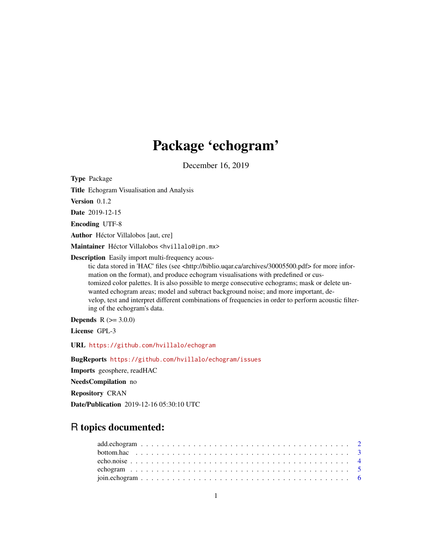# Package 'echogram'

December 16, 2019

<span id="page-0-0"></span>Type Package

Title Echogram Visualisation and Analysis

Version 0.1.2

Date 2019-12-15

Encoding UTF-8

Author Héctor Villalobos [aut, cre]

Maintainer Héctor Villalobos <hvillalo@ipn.mx>

Description Easily import multi-frequency acous-

tic data stored in 'HAC' files (see <http://biblio.uqar.ca/archives/30005500.pdf> for more information on the format), and produce echogram visualisations with predefined or customized color palettes. It is also possible to merge consecutive echograms; mask or delete unwanted echogram areas; model and subtract background noise; and more important, develop, test and interpret different combinations of frequencies in order to perform acoustic filtering of the echogram's data.

**Depends**  $R (= 3.0.0)$ 

License GPL-3

URL <https://github.com/hvillalo/echogram>

BugReports <https://github.com/hvillalo/echogram/issues>

Imports geosphere, readHAC

NeedsCompilation no

Repository CRAN

Date/Publication 2019-12-16 05:30:10 UTC

# R topics documented: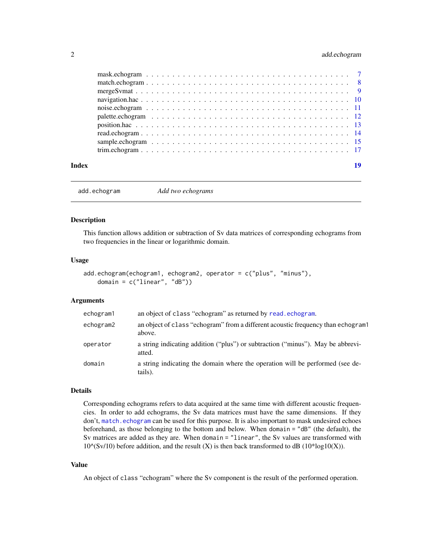# <span id="page-1-0"></span>2 add.echogram

| Index |  | 19 |
|-------|--|----|

<span id="page-1-1"></span>add.echogram *Add two echograms*

#### Description

This function allows addition or subtraction of Sv data matrices of corresponding echograms from two frequencies in the linear or logarithmic domain.

# Usage

```
add.echogram(echogram1, echogram2, operator = c("plus", "minus"),
   domain = c("linear", "dB"))
```
#### Arguments

| echogram1 | an object of class "echogram" as returned by read. echogram.                               |
|-----------|--------------------------------------------------------------------------------------------|
| echogram2 | an object of class "echogram" from a different acoustic frequency than echogram1<br>above. |
| operator  | a string indicating addition ("plus") or subtraction ("minus"). May be abbrevi-<br>atted.  |
| domain    | a string indicating the domain where the operation will be performed (see de-<br>tails).   |

# Details

Corresponding echograms refers to data acquired at the same time with different acoustic frequencies. In order to add echograms, the Sv data matrices must have the same dimensions. If they don't, match. echogram can be used for this purpose. It is also important to mask undesired echoes beforehand, as those belonging to the bottom and below. When domain = "dB" (the default), the Sv matrices are added as they are. When domain = "linear", the Sv values are transformed with 10 $^{\circ}$ (Sv/10) before addition, and the result (X) is then back transformed to dB (10\*log10(X)).

# Value

An object of class "echogram" where the Sv component is the result of the performed operation.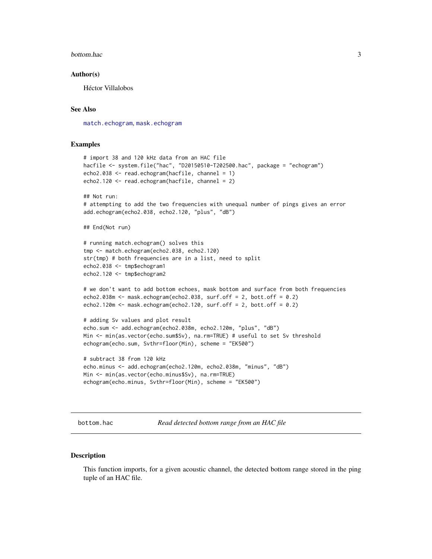#### <span id="page-2-0"></span>bottom.hac 3

#### Author(s)

Héctor Villalobos

# See Also

[match.echogram](#page-7-1), [mask.echogram](#page-6-1)

## Examples

```
# import 38 and 120 kHz data from an HAC file
hacfile <- system.file("hac", "D20150510-T202500.hac", package = "echogram")
echo2.038 <- read.echogram(hacfile, channel = 1)
echo2.120 <- read.echogram(hacfile, channel = 2)
## Not run:
# attempting to add the two frequencies with unequal number of pings gives an error
add.echogram(echo2.038, echo2.120, "plus", "dB")
## End(Not run)
# running match.echogram() solves this
tmp <- match.echogram(echo2.038, echo2.120)
str(tmp) # both frequencies are in a list, need to split
echo2.038 <- tmp$echogram1
echo2.120 <- tmp$echogram2
# we don't want to add bottom echoes, mask bottom and surface from both frequencies
echo2.038m <- mask.echogram(echo2.038, surf.off = 2, bott.off = 0.2)
echo2.120m <- mask.echogram(echo2.120, surf.off = 2, bott.off = 0.2)
# adding Sv values and plot result
echo.sum <- add.echogram(echo2.038m, echo2.120m, "plus", "dB")
Min <- min(as.vector(echo.sum$Sv), na.rm=TRUE) # useful to set Sv threshold
echogram(echo.sum, Svthr=floor(Min), scheme = "EK500")
# subtract 38 from 120 kHz
echo.minus <- add.echogram(echo2.120m, echo2.038m, "minus", "dB")
Min <- min(as.vector(echo.minus$Sv), na.rm=TRUE)
echogram(echo.minus, Svthr=floor(Min), scheme = "EK500")
```
bottom.hac *Read detected bottom range from an HAC file*

#### Description

This function imports, for a given acoustic channel, the detected bottom range stored in the ping tuple of an HAC file.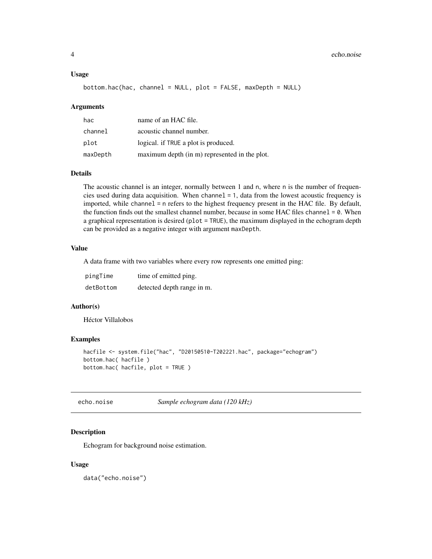#### <span id="page-3-0"></span>Usage

bottom.hac(hac, channel = NULL, plot = FALSE, maxDepth = NULL)

#### Arguments

| hac      | name of an HAC file.                          |
|----------|-----------------------------------------------|
| channel  | acoustic channel number.                      |
| plot     | logical. if TRUE a plot is produced.          |
| maxDepth | maximum depth (in m) represented in the plot. |

#### Details

The acoustic channel is an integer, normally between 1 and n, where n is the number of frequencies used during data acquisition. When channel = 1, data from the lowest acoustic frequency is imported, while channel = n refers to the highest frequency present in the HAC file. By default, the function finds out the smallest channel number, because in some HAC files channel  $= 0$ . When a graphical representation is desired (plot = TRUE), the maximum displayed in the echogram depth can be provided as a negative integer with argument maxDepth.

# Value

A data frame with two variables where every row represents one emitted ping:

| pingTime  | time of emitted ping.      |
|-----------|----------------------------|
| detBottom | detected depth range in m. |

# Author(s)

Héctor Villalobos

#### Examples

```
hacfile <- system.file("hac", "D20150510-T202221.hac", package="echogram")
bottom.hac( hacfile )
bottom.hac( hacfile, plot = TRUE )
```
echo.noise *Sample echogram data (120 kHz)*

#### Description

Echogram for background noise estimation.

#### Usage

data("echo.noise")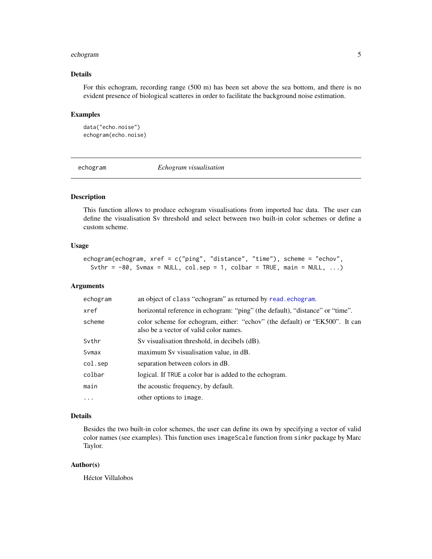#### <span id="page-4-0"></span>echogram 5

# Details

For this echogram, recording range (500 m) has been set above the sea bottom, and there is no evident presence of biological scatteres in order to facilitate the background noise estimation.

#### Examples

data("echo.noise") echogram(echo.noise)

<span id="page-4-1"></span>echogram *Echogram visualisation*

# Description

This function allows to produce echogram visualisations from imported hac data. The user can define the visualisation Sv threshold and select between two built-in color schemes or define a custom scheme.

## Usage

```
echogram(echogram, xref = c("ping", "distance", "time"), scheme = "echov",
  Svthr = -80, Svmax = NULL, col.sep = 1, colbar = TRUE, main = NULL, ...)
```
# Arguments

| echogram | an object of class "echogram" as returned by read. echogram.                                                          |
|----------|-----------------------------------------------------------------------------------------------------------------------|
| xref     | horizontal reference in echogram: "ping" (the default), "distance" or "time".                                         |
| scheme   | color scheme for echogram, either: "echov" (the default) or "EK500". It can<br>also be a vector of valid color names. |
| Sythr    | Sy visualisation threshold, in decibels (dB).                                                                         |
| Symax    | maximum Sv visualisation value, in dB.                                                                                |
| col.sep  | separation between colors in dB.                                                                                      |
| colbar   | logical. If TRUE a color bar is added to the echogram.                                                                |
| main     | the acoustic frequency, by default.                                                                                   |
| .        | other options to image.                                                                                               |

# Details

Besides the two built-in color schemes, the user can define its own by specifying a vector of valid color names (see examples). This function uses imageScale function from sinkr package by Marc Taylor.

#### Author(s)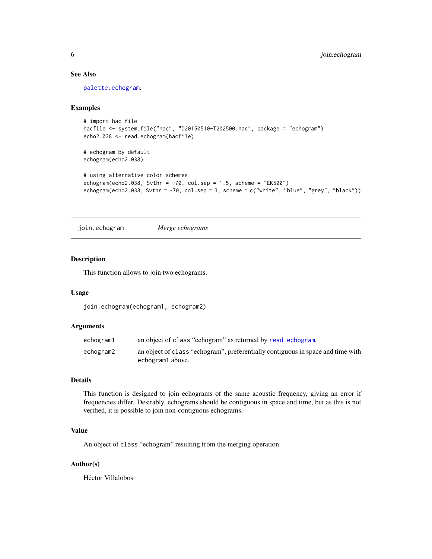# See Also

[palette.echogram](#page-11-1).

#### Examples

```
# import hac file
hacfile <- system.file("hac", "D20150510-T202500.hac", package = "echogram")
echo2.038 <- read.echogram(hacfile)
# echogram by default
echogram(echo2.038)
# using alternative color schemes
echogram(echo2.038, Svthr = -70, col.sep = 1.5, scheme = "EK500")
echogram(echo2.038, Svthr = -70, col.sep = 3, scheme = c("white", "blue", "grey", "black"))
```
join.echogram *Merge echograms*

#### Description

This function allows to join two echograms.

#### Usage

join.echogram(echogram1, echogram2)

# Arguments

| echogram1 | an object of class "echogram" as returned by read.echogram.                                         |
|-----------|-----------------------------------------------------------------------------------------------------|
| echogram2 | an object of class "echogram", preferentially contiguous in space and time with<br>echogram1 above. |

# Details

This function is designed to join echograms of the same acoustic frequency, giving an error if frequencies differ. Desirably, echograms should be contiguous in space and time, but as this is not verified, it is possible to join non-contiguous echograms.

# Value

An object of class "echogram" resulting from the merging operation.

# Author(s)

<span id="page-5-0"></span>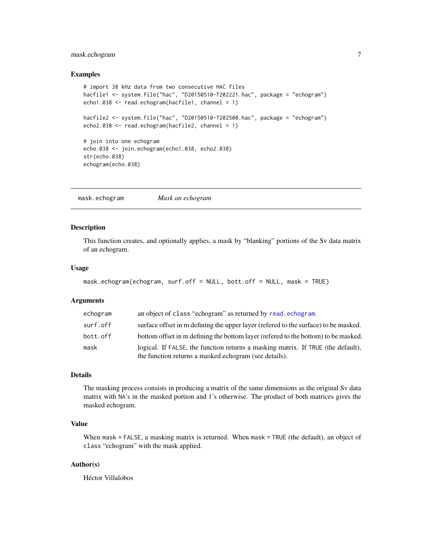# <span id="page-6-0"></span>mask.echogram 7

#### Examples

```
# import 38 kHz data from two consecutive HAC files
hacfile1 <- system.file("hac", "D20150510-T202221.hac", package = "echogram")
echo1.038 <- read.echogram(hacfile1, channel = 1)
hacfile2 <- system.file("hac", "D20150510-T202500.hac", package = "echogram")
echo2.038 <- read.echogram(hacfile2, channel = 1)
# join into one echogram
echo.038 <- join.echogram(echo1.038, echo2.038)
str(echo.038)
echogram(echo.038)
```
<span id="page-6-1"></span>mask.echogram *Mask an echogram*

# Description

This function creates, and optionally applies, a mask by "blanking" portions of the Sv data matrix of an echogram.

# Usage

```
mask.echogram(echogram, surf.off = NULL, bott.off = NULL, mask = TRUE)
```
#### Arguments

| echogram | an object of class "echogram" as returned by read. echogram.                                                                              |
|----------|-------------------------------------------------------------------------------------------------------------------------------------------|
| surf.off | surface offset in m defining the upper layer (refered to the surface) to be masked.                                                       |
| bott.off | bottom offset in m defining the bottom layer (refered to the bottom) to be masked.                                                        |
| mask     | logical. If FALSE, the function returns a masking matrix. If TRUE (the default),<br>the function returns a masked echogram (see details). |

# Details

The masking process consists in producing a matrix of the same dimensions as the original Sv data matrix with NA's in the masked portion and 1's otherwise. The product of both matrices gives the masked echogram.

# Value

When mask = FALSE, a masking matrix is returned. When mask = TRUE (the default), an object of class "echogram" with the mask applied.

# Author(s)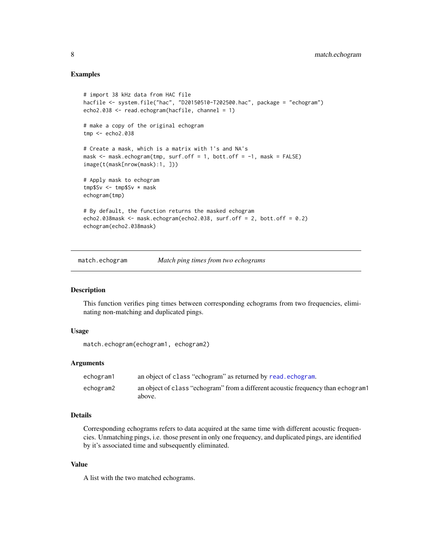#### <span id="page-7-0"></span>Examples

```
# import 38 kHz data from HAC file
hacfile <- system.file("hac", "D20150510-T202500.hac", package = "echogram")
echo2.038 <- read.echogram(hacfile, channel = 1)
# make a copy of the original echogram
tmp <- echo2.038
# Create a mask, which is a matrix with 1's and NA's
mask <- mask.echogram(tmp, surf.off = 1, bott.off = -1, mask = FALSE)
image(t(mask[nrow(mask):1, ]))
# Apply mask to echogram
tmp$Sv <- tmp$Sv * mask
echogram(tmp)
# By default, the function returns the masked echogram
echo2.038mask <- mask.echogram(echo2.038, surf.off = 2, bott.off = 0.2)
echogram(echo2.038mask)
```
<span id="page-7-1"></span>match.echogram *Match ping times from two echograms*

#### Description

This function verifies ping times between corresponding echograms from two frequencies, eliminating non-matching and duplicated pings.

#### Usage

match.echogram(echogram1, echogram2)

## Arguments

| echogram1 | an object of class "echogram" as returned by read.echogram.                                |
|-----------|--------------------------------------------------------------------------------------------|
| echogram2 | an object of class "echogram" from a different acoustic frequency than echogram1<br>above. |

#### Details

Corresponding echograms refers to data acquired at the same time with different acoustic frequencies. Unmatching pings, i.e. those present in only one frequency, and duplicated pings, are identified by it's associated time and subsequently eliminated.

#### Value

A list with the two matched echograms.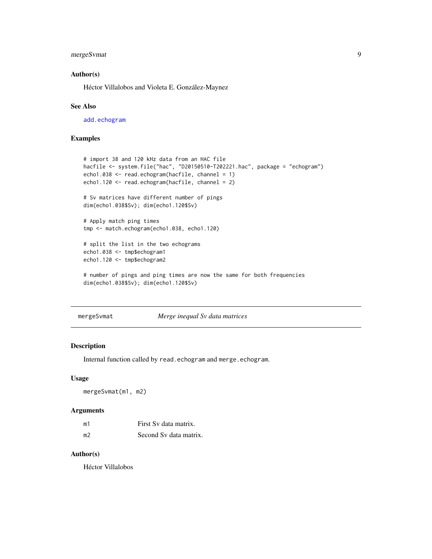# <span id="page-8-0"></span>mergeSvmat 9

# Author(s)

Héctor Villalobos and Violeta E. González-Maynez

#### See Also

[add.echogram](#page-1-1)

# Examples

```
# import 38 and 120 kHz data from an HAC file
hacfile <- system.file("hac", "D20150510-T202221.hac", package = "echogram")
echo1.038 <- read.echogram(hacfile, channel = 1)
echo1.120 <- read.echogram(hacfile, channel = 2)
# Sv matrices have different number of pings
dim(echo1.038$Sv); dim(echo1.120$Sv)
# Apply match ping times
tmp <- match.echogram(echo1.038, echo1.120)
# split the list in the two echograms
echo1.038 <- tmp$echogram1
echo1.120 <- tmp$echogram2
# number of pings and ping times are now the same for both frequencies
dim(echo1.038$Sv); dim(echo1.120$Sv)
```
mergeSvmat *Merge inequal Sv data matrices*

# Description

Internal function called by read.echogram and merge.echogram.

#### Usage

mergeSvmat(m1, m2)

#### Arguments

| m1             | First Sy data matrix.  |
|----------------|------------------------|
| m <sub>2</sub> | Second Sy data matrix. |

# Author(s)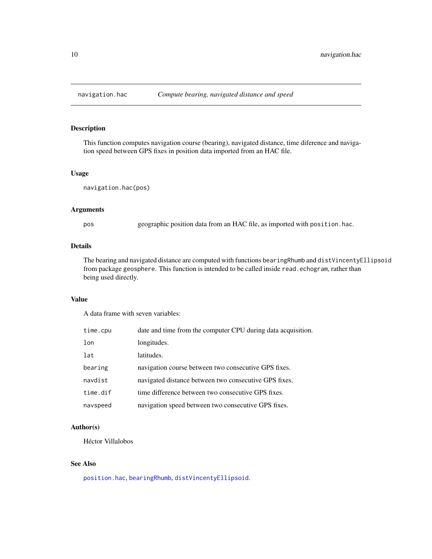<span id="page-9-1"></span><span id="page-9-0"></span>

# Description

This function computes navigation course (bearing), navigated distance, time diference and navigation speed between GPS fixes in position data imported from an HAC file.

#### Usage

navigation.hac(pos)

# Arguments

pos geographic position data from an HAC file, as imported with position.hac.

## Details

The bearing and navigated distance are computed with functions bearingRhumb and distVincentyEllipsoid from package geosphere. This function is intended to be called inside read.echogram, rather than being used directly.

# Value

A data frame with seven variables:

| time.cpu | date and time from the computer CPU during data acquisition. |
|----------|--------------------------------------------------------------|
| lon      | longitudes.                                                  |
| lat      | latitudes.                                                   |
| bearing  | navigation course between two consecutive GPS fixes.         |
| navdist  | navigated distance between two consecutive GPS fixes.        |
| time.dif | time difference between two consecutive GPS fixes.           |
| navspeed | navigation speed between two consecutive GPS fixes.          |

# Author(s)

Héctor Villalobos

# See Also

[position.hac](#page-12-1), [bearingRhumb](#page-0-0), [distVincentyEllipsoid](#page-0-0).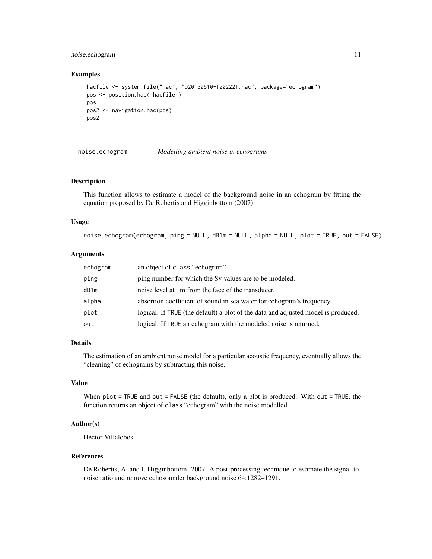# <span id="page-10-0"></span>noise.echogram 11

#### Examples

```
hacfile <- system.file("hac", "D20150510-T202221.hac", package="echogram")
pos <- position.hac( hacfile )
pos
pos2 <- navigation.hac(pos)
pos2
```
noise.echogram *Modelling ambient noise in echograms*

## Description

This function allows to estimate a model of the background noise in an echogram by fitting the equation proposed by De Robertis and Higginbottom (2007).

#### Usage

noise.echogram(echogram, ping = NULL, dB1m = NULL, alpha = NULL, plot = TRUE, out = FALSE)

#### Arguments

| echogram | an object of class "echogram".                                                    |
|----------|-----------------------------------------------------------------------------------|
| ping     | ping number for which the S <sub>v</sub> values are to be modeled.                |
| dB1m     | noise level at 1m from the face of the transducer.                                |
| alpha    | absortion coefficient of sound in sea water for echogram's frequency.             |
| plot     | logical. If TRUE (the default) a plot of the data and adjusted model is produced. |
| out      | logical. If TRUE an echogram with the modeled noise is returned.                  |

#### Details

The estimation of an ambient noise model for a particular acoustic frequency, eventually allows the "cleaning" of echograms by subtracting this noise.

#### Value

When  $plot = TRUE$  and  $out = FALSE$  (the default), only a plot is produced. With out  $= TRUE$ , the function returns an object of class "echogram" with the noise modelled.

# Author(s)

Héctor Villalobos

#### References

De Robertis, A. and I. Higginbottom. 2007. A post-processing technique to estimate the signal-tonoise ratio and remove echosounder background noise 64:1282–1291.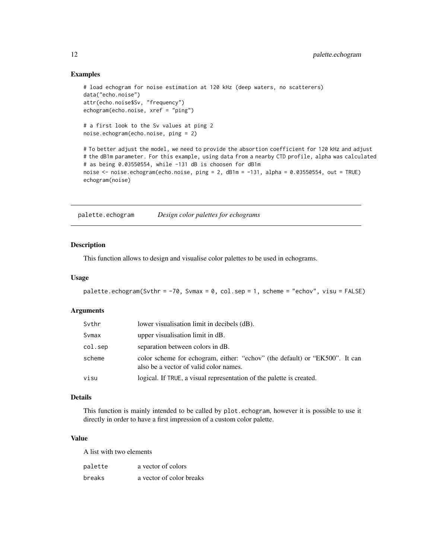# Examples

```
# load echogram for noise estimation at 120 kHz (deep waters, no scatterers)
data("echo.noise")
attr(echo.noise$Sv, "frequency")
echogram(echo.noise, xref = "ping")
# a first look to the Sv values at ping 2
noise.echogram(echo.noise, ping = 2)
# To better adjust the model, we need to provide the absortion coefficient for 120 kHz and adjust
```

```
# the dB1m parameter. For this example, using data from a nearby CTD profile, alpha was calculated
# as being 0.03550554, while -131 dB is choosen for dB1m
noise <- noise.echogram(echo.noise, ping = 2, dB1m = -131, alpha = 0.03550554, out = TRUE)
echogram(noise)
```
<span id="page-11-1"></span>palette.echogram *Design color palettes for echograms*

# Description

This function allows to design and visualise color palettes to be used in echograms.

#### Usage

```
palette.echogram(Svthr = -70, Svmax = 0, col.\nsep = 1, scheme = "echov", visu = FALSE)
```
#### Arguments

| Svthr   | lower visualisation limit in decibels (dB).                                                                           |
|---------|-----------------------------------------------------------------------------------------------------------------------|
| Svmax   | upper visualisation limit in dB.                                                                                      |
| col.sep | separation between colors in dB.                                                                                      |
| scheme  | color scheme for echogram, either: "echoy" (the default) or "EK500". It can<br>also be a vector of valid color names. |
| visu    | logical. If TRUE, a visual representation of the palette is created.                                                  |

# Details

This function is mainly intended to be called by plot.echogram, however it is possible to use it directly in order to have a first impression of a custom color palette.

#### Value

|  |  | A list with two elements |  |
|--|--|--------------------------|--|
|  |  |                          |  |

| palette | a vector of colors       |
|---------|--------------------------|
| breaks  | a vector of color breaks |

<span id="page-11-0"></span>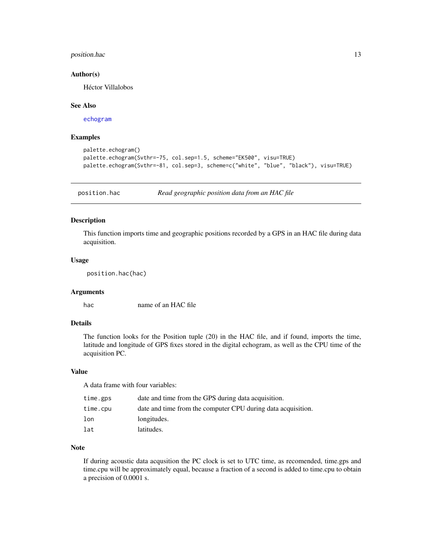# <span id="page-12-0"></span>position.hac 13

#### Author(s)

Héctor Villalobos

#### See Also

[echogram](#page-4-1)

# Examples

```
palette.echogram()
palette.echogram(Svthr=-75, col.sep=1.5, scheme="EK500", visu=TRUE)
palette.echogram(Svthr=-81, col.sep=3, scheme=c("white", "blue", "black"), visu=TRUE)
```
<span id="page-12-1"></span>position.hac *Read geographic position data from an HAC file*

# Description

This function imports time and geographic positions recorded by a GPS in an HAC file during data acquisition.

# Usage

position.hac(hac)

#### Arguments

hac name of an HAC file

# Details

The function looks for the Position tuple (20) in the HAC file, and if found, imports the time, latitude and longitude of GPS fixes stored in the digital echogram, as well as the CPU time of the acquisition PC.

# Value

A data frame with four variables:

| time.gps | date and time from the GPS during data acquisition.          |
|----------|--------------------------------------------------------------|
| time.cpu | date and time from the computer CPU during data acquisition. |
| lon      | longitudes.                                                  |
| lat      | latitudes.                                                   |

# Note

If during acoustic data acqusition the PC clock is set to UTC time, as recomended, time.gps and time.cpu will be approximately equal, because a fraction of a second is added to time.cpu to obtain a precision of 0.0001 s.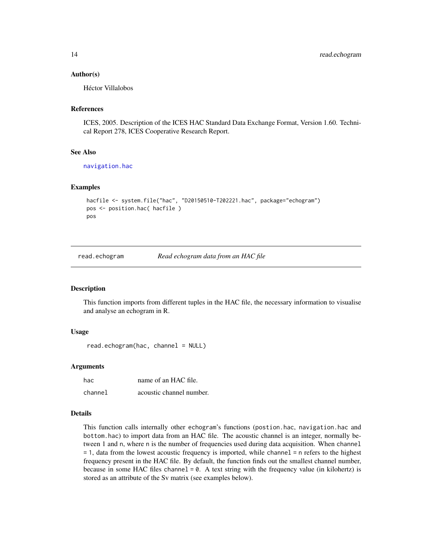#### <span id="page-13-0"></span>Author(s)

Héctor Villalobos

# References

ICES, 2005. Description of the ICES HAC Standard Data Exchange Format, Version 1.60. Technical Report 278, ICES Cooperative Research Report.

#### See Also

[navigation.hac](#page-9-1)

#### Examples

```
hacfile <- system.file("hac", "D20150510-T202221.hac", package="echogram")
pos <- position.hac( hacfile )
pos
```
<span id="page-13-1"></span>read.echogram *Read echogram data from an HAC file*

#### Description

This function imports from different tuples in the HAC file, the necessary information to visualise and analyse an echogram in R.

#### Usage

```
read.echogram(hac, channel = NULL)
```
# Arguments

| hac     | name of an HAC file.     |
|---------|--------------------------|
| channel | acoustic channel number. |

#### Details

This function calls internally other echogram's functions (postion.hac, navigation.hac and bottom.hac) to import data from an HAC file. The acoustic channel is an integer, normally between 1 and n, where n is the number of frequencies used during data acquisition. When channel = 1, data from the lowest acoustic frequency is imported, while channel = n refers to the highest frequency present in the HAC file. By default, the function finds out the smallest channel number, because in some HAC files channel = 0. A text string with the frequency value (in kilohertz) is stored as an attribute of the Sv matrix (see examples below).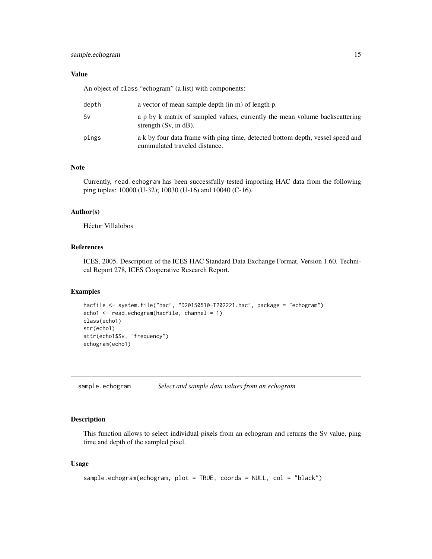# <span id="page-14-0"></span>Value

An object of class "echogram" (a list) with components:

| depth | a vector of mean sample depth (in m) of length p.                                                               |
|-------|-----------------------------------------------------------------------------------------------------------------|
| Sv    | a p by k matrix of sampled values, currently the mean volume backscattering<br>strength $(Sv, in dB)$ .         |
| pings | a k by four data frame with ping time, detected bottom depth, vessel speed and<br>cummulated traveled distance. |

# Note

Currently, read.echogram has been successfully tested importing HAC data from the following ping tuples: 10000 (U-32); 10030 (U-16) and 10040 (C-16).

#### Author(s)

Héctor Villalobos

# References

ICES, 2005. Description of the ICES HAC Standard Data Exchange Format, Version 1.60. Technical Report 278, ICES Cooperative Research Report.

## Examples

```
hacfile <- system.file("hac", "D20150510-T202221.hac", package = "echogram")
echo1 <- read.echogram(hacfile, channel = 1)
class(echo1)
str(echo1)
attr(echo1$Sv, "frequency")
echogram(echo1)
```
sample.echogram *Select and sample data values from an echogram*

# Description

This function allows to select individual pixels from an echogram and returns the Sv value, ping time and depth of the sampled pixel.

# Usage

```
sample.echogram(echogram, plot = TRUE, coords = NULL, col = "black")
```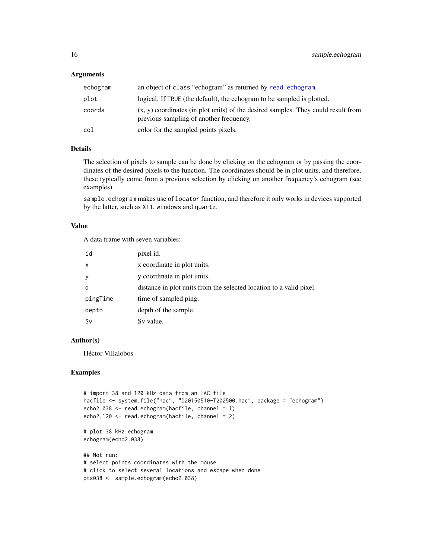# <span id="page-15-0"></span>**Arguments**

| echogram | an object of class "echogram" as returned by read, echogram.                                                                   |
|----------|--------------------------------------------------------------------------------------------------------------------------------|
| plot     | logical. If TRUE (the default), the echogram to be sampled is plotted.                                                         |
| coords   | $(x, y)$ coordinates (in plot units) of the desired samples. They could result from<br>previous sampling of another frequency. |
| col      | color for the sampled points pixels.                                                                                           |

# Details

The selection of pixels to sample can be done by clicking on the echogram or by passing the coordinates of the desired pixels to the function. The coordinates should be in plot units, and therefore, these typically come from a previous selection by clicking on another frequency's echogram (see examples).

sample.echogram makes use of locator function, and therefore it only works in devices supported by the latter, such as X11, windows and quartz.

# Value

A data frame with seven variables:

| id           | pixel id.                                                           |
|--------------|---------------------------------------------------------------------|
| $\mathsf{x}$ | x coordinate in plot units.                                         |
| y            | y coordinate in plot units.                                         |
| d            | distance in plot units from the selected location to a valid pixel. |
| pingTime     | time of sampled ping.                                               |
| depth        | depth of the sample.                                                |
| Sv           | Sv value.                                                           |

# Author(s)

Héctor Villalobos

# Examples

```
# import 38 and 120 kHz data from an HAC file
hacfile <- system.file("hac", "D20150510-T202500.hac", package = "echogram")
echo2.038 <- read.echogram(hacfile, channel = 1)
echo2.120 <- read.echogram(hacfile, channel = 2)
# plot 38 kHz echogram
echogram(echo2.038)
## Not run:
# select points coordinates with the mouse
# click to select several locations and escape when done
pts038 <- sample.echogram(echo2.038)
```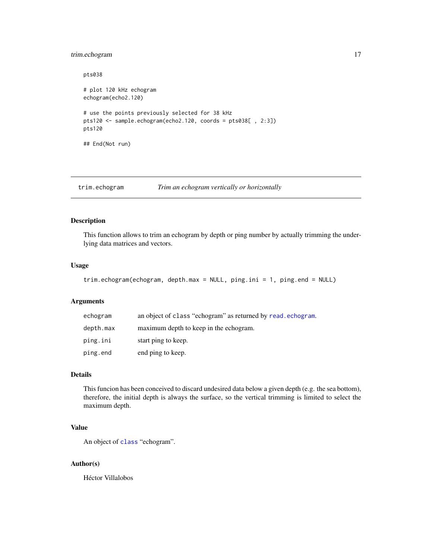# <span id="page-16-0"></span>trim.echogram 17

```
pts038
# plot 120 kHz echogram
echogram(echo2.120)
# use the points previously selected for 38 kHz
pts120 <- sample.echogram(echo2.120, coords = pts038[ , 2:3])
pts120
## End(Not run)
```
trim.echogram *Trim an echogram vertically or horizontally*

# Description

This function allows to trim an echogram by depth or ping number by actually trimming the underlying data matrices and vectors.

#### Usage

```
trim.echogram(echogram, depth.max = NULL, ping.ini = 1, ping.end = NULL)
```
#### Arguments

| echogram  | an object of class "echogram" as returned by read. echogram. |
|-----------|--------------------------------------------------------------|
| depth.max | maximum depth to keep in the echogram.                       |
| ping.ini  | start ping to keep.                                          |
| ping.end  | end ping to keep.                                            |

# Details

This funcion has been conceived to discard undesired data below a given depth (e.g. the sea bottom), therefore, the initial depth is always the surface, so the vertical trimming is limited to select the maximum depth.

# Value

An object of [class](#page-0-0) "echogram".

#### Author(s)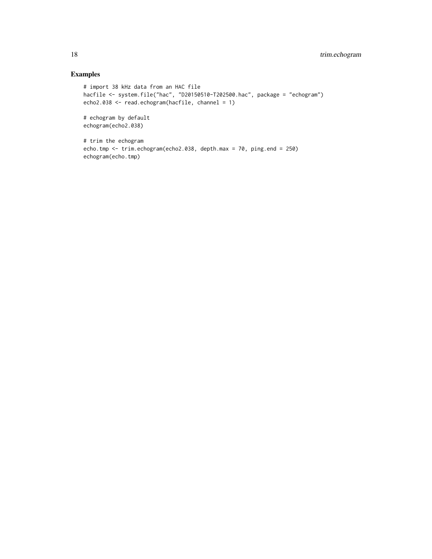# Examples

echogram(echo.tmp)

```
# import 38 kHz data from an HAC file
hacfile <- system.file("hac", "D20150510-T202500.hac", package = "echogram")
echo2.038 <- read.echogram(hacfile, channel = 1)
# echogram by default
echogram(echo2.038)
# trim the echogram
echo.tmp <- trim.echogram(echo2.038, depth.max = 70, ping.end = 250)
```